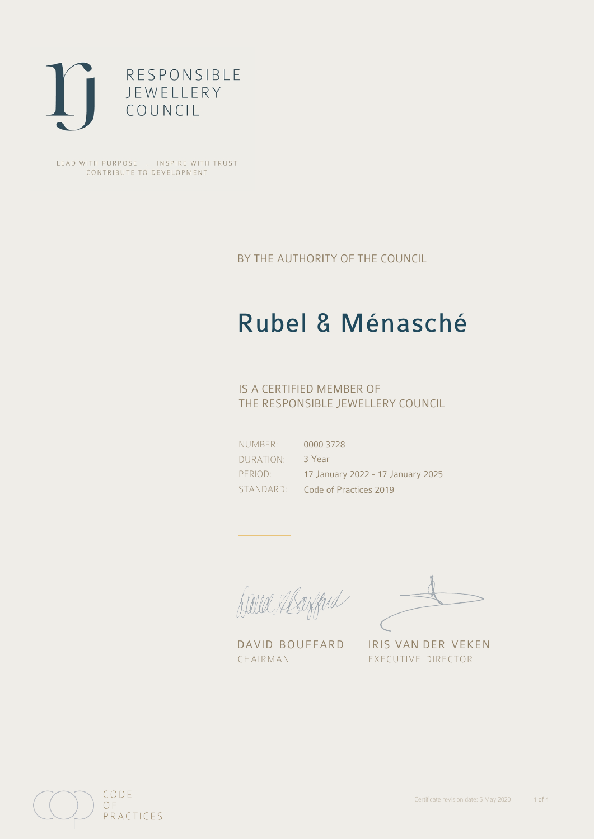

LEAD WITH PURPOSE . INSPIRE WITH TRUST CONTRIBUTE TO DEVELOPMENT

BY THE AUTHORITY OF THE COUNCIL

# Rubel & Ménasché

## IS A CERTIFIED MEMBER OF THE RESPONSIBLE JEWELLERY COUNCIL

NUMBER: DURATION: PERIOD: STANDARD:

0000 3728 3 Year 17 January 2022 - 17 January 2025 Code of Practices 2019

Balla Margard

DAVID BOUFFARD IRIS VAN DER VEKEN CHAIRMAN EXECUTIVE DIRECTOR

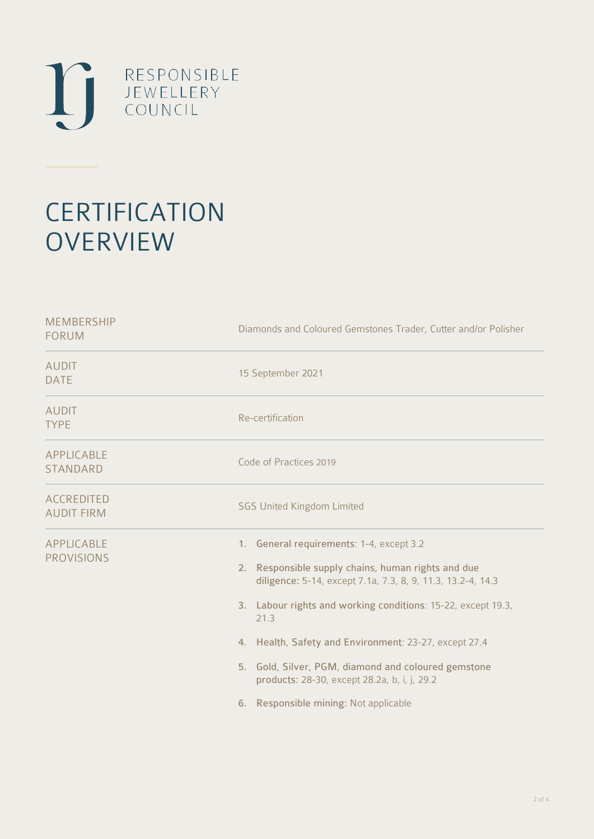

# **CERTIFICATION OVERVIEW**

| Diamonds and Coloured Gemstones Trader, Cutter and/or Polisher                                                                                                                                                                                                                                                                                                                                                                                    |
|---------------------------------------------------------------------------------------------------------------------------------------------------------------------------------------------------------------------------------------------------------------------------------------------------------------------------------------------------------------------------------------------------------------------------------------------------|
| 15 September 2021                                                                                                                                                                                                                                                                                                                                                                                                                                 |
| Re-certification                                                                                                                                                                                                                                                                                                                                                                                                                                  |
| Code of Practices 2019                                                                                                                                                                                                                                                                                                                                                                                                                            |
| <b>SGS United Kingdom Limited</b>                                                                                                                                                                                                                                                                                                                                                                                                                 |
| 1. General requirements: 1-4, except 3.2<br>2. Responsible supply chains, human rights and due<br>diligence: 5-14, except 7.1a, 7.3, 8, 9, 11.3, 13.2-4, 14.3<br>3. Labour rights and working conditions: 15-22, except 19.3,<br>21.3<br>4. Health, Safety and Environment: 23-27, except 27.4<br>5. Gold, Silver, PGM, diamond and coloured gemstone<br>products: 28-30, except 28.2a, b, i, j, 29.2<br>Responsible mining: Not applicable<br>6. |
|                                                                                                                                                                                                                                                                                                                                                                                                                                                   |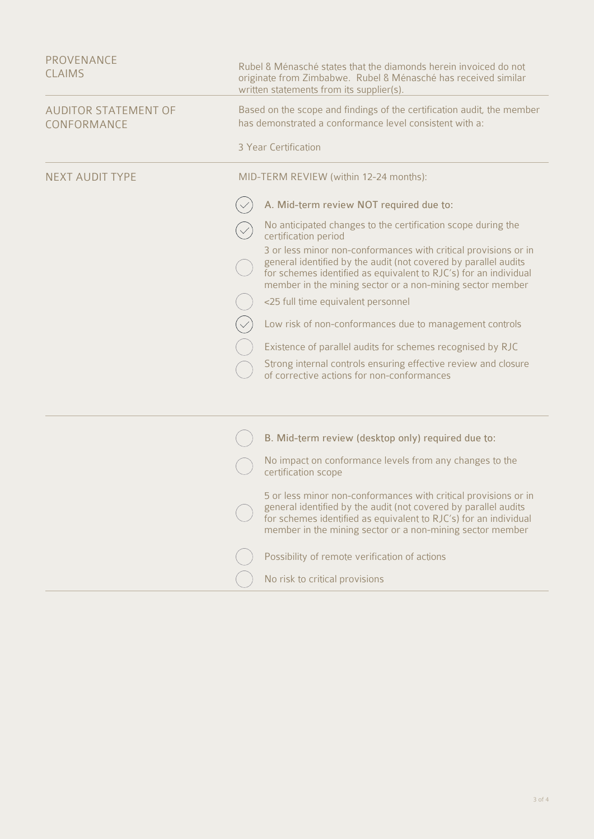| <b>AUDITOR STATEMENT OF</b><br>Based on the scope and findings of the certification audit, the member<br>has demonstrated a conformance level consistent with a:<br>CONFORMANCE<br>3 Year Certification<br><b>NEXT AUDIT TYPE</b><br>MID-TERM REVIEW (within 12-24 months):<br>A. Mid-term review NOT required due to:<br>No anticipated changes to the certification scope during the<br>certification period<br>3 or less minor non-conformances with critical provisions or in<br>general identified by the audit (not covered by parallel audits<br>for schemes identified as equivalent to RJC's) for an individual<br>member in the mining sector or a non-mining sector member<br><25 full time equivalent personnel<br>Low risk of non-conformances due to management controls<br>Existence of parallel audits for schemes recognised by RJC<br>Strong internal controls ensuring effective review and closure<br>of corrective actions for non-conformances<br>B. Mid-term review (desktop only) required due to:<br>No impact on conformance levels from any changes to the<br>certification scope<br>5 or less minor non-conformances with critical provisions or in<br>general identified by the audit (not covered by parallel audits<br>for schemes identified as equivalent to RJC's) for an individual<br>member in the mining sector or a non-mining sector member<br>Possibility of remote verification of actions<br>No risk to critical provisions | PROVENANCE<br><b>CLAIMS</b> | Rubel & Ménasché states that the diamonds herein invoiced do not<br>originate from Zimbabwe. Rubel & Ménasché has received similar<br>written statements from its supplier(s). |
|------------------------------------------------------------------------------------------------------------------------------------------------------------------------------------------------------------------------------------------------------------------------------------------------------------------------------------------------------------------------------------------------------------------------------------------------------------------------------------------------------------------------------------------------------------------------------------------------------------------------------------------------------------------------------------------------------------------------------------------------------------------------------------------------------------------------------------------------------------------------------------------------------------------------------------------------------------------------------------------------------------------------------------------------------------------------------------------------------------------------------------------------------------------------------------------------------------------------------------------------------------------------------------------------------------------------------------------------------------------------------------------------------------------------------------------------------------------------|-----------------------------|--------------------------------------------------------------------------------------------------------------------------------------------------------------------------------|
|                                                                                                                                                                                                                                                                                                                                                                                                                                                                                                                                                                                                                                                                                                                                                                                                                                                                                                                                                                                                                                                                                                                                                                                                                                                                                                                                                                                                                                                                        |                             |                                                                                                                                                                                |
|                                                                                                                                                                                                                                                                                                                                                                                                                                                                                                                                                                                                                                                                                                                                                                                                                                                                                                                                                                                                                                                                                                                                                                                                                                                                                                                                                                                                                                                                        |                             |                                                                                                                                                                                |
|                                                                                                                                                                                                                                                                                                                                                                                                                                                                                                                                                                                                                                                                                                                                                                                                                                                                                                                                                                                                                                                                                                                                                                                                                                                                                                                                                                                                                                                                        |                             |                                                                                                                                                                                |
|                                                                                                                                                                                                                                                                                                                                                                                                                                                                                                                                                                                                                                                                                                                                                                                                                                                                                                                                                                                                                                                                                                                                                                                                                                                                                                                                                                                                                                                                        |                             |                                                                                                                                                                                |
|                                                                                                                                                                                                                                                                                                                                                                                                                                                                                                                                                                                                                                                                                                                                                                                                                                                                                                                                                                                                                                                                                                                                                                                                                                                                                                                                                                                                                                                                        |                             |                                                                                                                                                                                |
|                                                                                                                                                                                                                                                                                                                                                                                                                                                                                                                                                                                                                                                                                                                                                                                                                                                                                                                                                                                                                                                                                                                                                                                                                                                                                                                                                                                                                                                                        |                             |                                                                                                                                                                                |
|                                                                                                                                                                                                                                                                                                                                                                                                                                                                                                                                                                                                                                                                                                                                                                                                                                                                                                                                                                                                                                                                                                                                                                                                                                                                                                                                                                                                                                                                        |                             |                                                                                                                                                                                |
|                                                                                                                                                                                                                                                                                                                                                                                                                                                                                                                                                                                                                                                                                                                                                                                                                                                                                                                                                                                                                                                                                                                                                                                                                                                                                                                                                                                                                                                                        |                             |                                                                                                                                                                                |
|                                                                                                                                                                                                                                                                                                                                                                                                                                                                                                                                                                                                                                                                                                                                                                                                                                                                                                                                                                                                                                                                                                                                                                                                                                                                                                                                                                                                                                                                        |                             |                                                                                                                                                                                |
|                                                                                                                                                                                                                                                                                                                                                                                                                                                                                                                                                                                                                                                                                                                                                                                                                                                                                                                                                                                                                                                                                                                                                                                                                                                                                                                                                                                                                                                                        |                             |                                                                                                                                                                                |
|                                                                                                                                                                                                                                                                                                                                                                                                                                                                                                                                                                                                                                                                                                                                                                                                                                                                                                                                                                                                                                                                                                                                                                                                                                                                                                                                                                                                                                                                        |                             |                                                                                                                                                                                |
|                                                                                                                                                                                                                                                                                                                                                                                                                                                                                                                                                                                                                                                                                                                                                                                                                                                                                                                                                                                                                                                                                                                                                                                                                                                                                                                                                                                                                                                                        |                             |                                                                                                                                                                                |
|                                                                                                                                                                                                                                                                                                                                                                                                                                                                                                                                                                                                                                                                                                                                                                                                                                                                                                                                                                                                                                                                                                                                                                                                                                                                                                                                                                                                                                                                        |                             |                                                                                                                                                                                |
|                                                                                                                                                                                                                                                                                                                                                                                                                                                                                                                                                                                                                                                                                                                                                                                                                                                                                                                                                                                                                                                                                                                                                                                                                                                                                                                                                                                                                                                                        |                             |                                                                                                                                                                                |
|                                                                                                                                                                                                                                                                                                                                                                                                                                                                                                                                                                                                                                                                                                                                                                                                                                                                                                                                                                                                                                                                                                                                                                                                                                                                                                                                                                                                                                                                        |                             |                                                                                                                                                                                |
|                                                                                                                                                                                                                                                                                                                                                                                                                                                                                                                                                                                                                                                                                                                                                                                                                                                                                                                                                                                                                                                                                                                                                                                                                                                                                                                                                                                                                                                                        |                             |                                                                                                                                                                                |